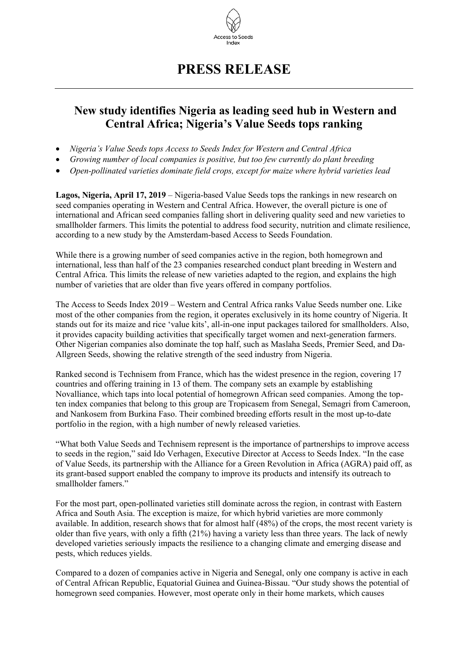

## **PRESS RELEASE**

## **New study identifies Nigeria as leading seed hub in Western and Central Africa; Nigeria's Value Seeds tops ranking**

- *Nigeria's Value Seeds tops Access to Seeds Index for Western and Central Africa*
- *Growing number of local companies is positive, but too few currently do plant breeding*
- *Open-pollinated varieties dominate field crops, except for maize where hybrid varieties lead*

**Lagos, Nigeria, April 17, 2019** – Nigeria-based Value Seeds tops the rankings in new research on seed companies operating in Western and Central Africa. However, the overall picture is one of international and African seed companies falling short in delivering quality seed and new varieties to smallholder farmers. This limits the potential to address food security, nutrition and climate resilience, according to a new study by the Amsterdam-based Access to Seeds Foundation.

While there is a growing number of seed companies active in the region, both homegrown and international, less than half of the 23 companies researched conduct plant breeding in Western and Central Africa. This limits the release of new varieties adapted to the region, and explains the high number of varieties that are older than five years offered in company portfolios.

The Access to Seeds Index 2019 – Western and Central Africa ranks Value Seeds number one. Like most of the other companies from the region, it operates exclusively in its home country of Nigeria. It stands out for its maize and rice 'value kits', all-in-one input packages tailored for smallholders. Also, it provides capacity building activities that specifically target women and next-generation farmers. Other Nigerian companies also dominate the top half, such as Maslaha Seeds, Premier Seed, and Da-Allgreen Seeds, showing the relative strength of the seed industry from Nigeria.

Ranked second is Technisem from France, which has the widest presence in the region, covering 17 countries and offering training in 13 of them. The company sets an example by establishing Novalliance, which taps into local potential of homegrown African seed companies. Among the topten index companies that belong to this group are Tropicasem from Senegal, Semagri from Cameroon, and Nankosem from Burkina Faso. Their combined breeding efforts result in the most up-to-date portfolio in the region, with a high number of newly released varieties.

"What both Value Seeds and Technisem represent is the importance of partnerships to improve access to seeds in the region," said Ido Verhagen, Executive Director at Access to Seeds Index. "In the case of Value Seeds, its partnership with the Alliance for a Green Revolution in Africa (AGRA) paid off, as its grant-based support enabled the company to improve its products and intensify its outreach to smallholder famers."

For the most part, open-pollinated varieties still dominate across the region, in contrast with Eastern Africa and South Asia. The exception is maize, for which hybrid varieties are more commonly available. In addition, research shows that for almost half (48%) of the crops, the most recent variety is older than five years, with only a fifth (21%) having a variety less than three years. The lack of newly developed varieties seriously impacts the resilience to a changing climate and emerging disease and pests, which reduces yields.

Compared to a dozen of companies active in Nigeria and Senegal, only one company is active in each of Central African Republic, Equatorial Guinea and Guinea-Bissau. "Our study shows the potential of homegrown seed companies. However, most operate only in their home markets, which causes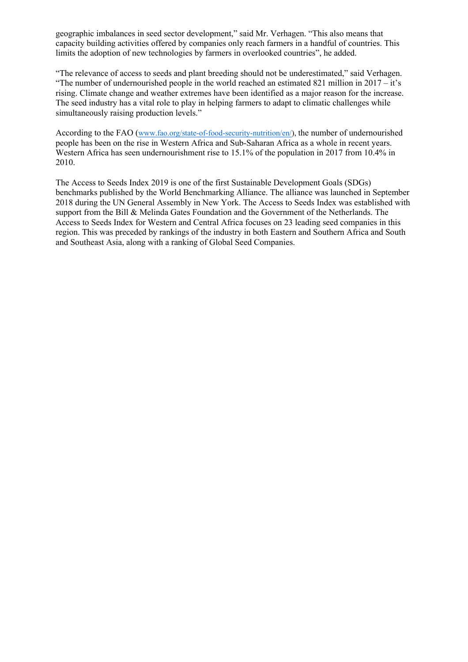geographic imbalances in seed sector development," said Mr. Verhagen. "This also means that capacity building activities offered by companies only reach farmers in a handful of countries. This limits the adoption of new technologies by farmers in overlooked countries", he added.

"The relevance of access to seeds and plant breeding should not be underestimated," said Verhagen. "The number of undernourished people in the world reached an estimated 821 million in  $2017 - it's$ rising. Climate change and weather extremes have been identified as a major reason for the increase. The seed industry has a vital role to play in helping farmers to adapt to climatic challenges while simultaneously raising production levels."

According to the FAO (www.fao.org/state-of-food-security-nutrition/en/), the number of undernourished people has been on the rise in Western Africa and Sub-Saharan Africa as a whole in recent years. Western Africa has seen undernourishment rise to 15.1% of the population in 2017 from 10.4% in 2010.

The Access to Seeds Index 2019 is one of the first Sustainable Development Goals (SDGs) benchmarks published by the World Benchmarking Alliance. The alliance was launched in September 2018 during the UN General Assembly in New York. The Access to Seeds Index was established with support from the Bill & Melinda Gates Foundation and the Government of the Netherlands. The Access to Seeds Index for Western and Central Africa focuses on 23 leading seed companies in this region. This was preceded by rankings of the industry in both Eastern and Southern Africa and South and Southeast Asia, along with a ranking of Global Seed Companies.